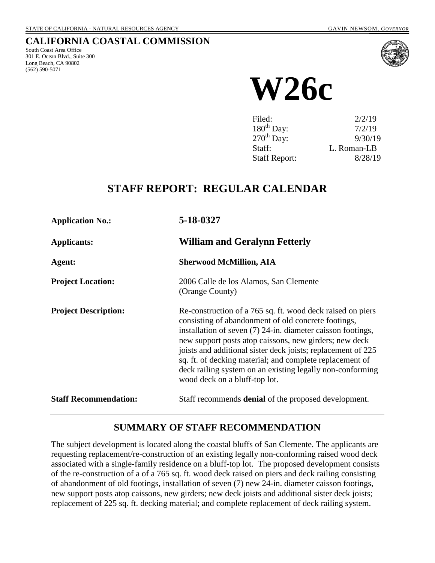### **CALIFORNIA COASTAL COMMISSION**

South Coast Area Office 301 E. Ocean Blvd., Suite 300 Long Beach, CA 90802 (562) 590-5071



**W26c**

| Filed:               | 2/2/19      |
|----------------------|-------------|
| $180^{th}$ Day:      | 7/2/19      |
| $270^{th}$ Day:      | 9/30/19     |
| Staff:               | L. Roman-LB |
| <b>Staff Report:</b> | 8/28/19     |

# **STAFF REPORT: REGULAR CALENDAR**

| <b>Application No.:</b>      | 5-18-0327                                                                                                                                                                                                                                                                                                                                                                                                                                                              |
|------------------------------|------------------------------------------------------------------------------------------------------------------------------------------------------------------------------------------------------------------------------------------------------------------------------------------------------------------------------------------------------------------------------------------------------------------------------------------------------------------------|
| <b>Applicants:</b>           | <b>William and Geralynn Fetterly</b>                                                                                                                                                                                                                                                                                                                                                                                                                                   |
| Agent:                       | <b>Sherwood McMillion, AIA</b>                                                                                                                                                                                                                                                                                                                                                                                                                                         |
| <b>Project Location:</b>     | 2006 Calle de los Alamos, San Clemente<br>(Orange County)                                                                                                                                                                                                                                                                                                                                                                                                              |
| <b>Project Description:</b>  | Re-construction of a 765 sq. ft. wood deck raised on piers<br>consisting of abandonment of old concrete footings,<br>installation of seven $(7)$ 24-in. diameter caisson footings,<br>new support posts atop caissons, new girders; new deck<br>joists and additional sister deck joists; replacement of 225<br>sq. ft. of decking material; and complete replacement of<br>deck railing system on an existing legally non-conforming<br>wood deck on a bluff-top lot. |
| <b>Staff Recommendation:</b> | Staff recommends <b>denial</b> of the proposed development.                                                                                                                                                                                                                                                                                                                                                                                                            |

# **SUMMARY OF STAFF RECOMMENDATION**

The subject development is located along the coastal bluffs of San Clemente. The applicants are requesting replacement/re-construction of an existing legally non-conforming raised wood deck associated with a single-family residence on a bluff-top lot. The proposed development consists of the re-construction of a of a 765 sq. ft. wood deck raised on piers and deck railing consisting of abandonment of old footings, installation of seven (7) new 24-in. diameter caisson footings, new support posts atop caissons, new girders; new deck joists and additional sister deck joists; replacement of 225 sq. ft. decking material; and complete replacement of deck railing system.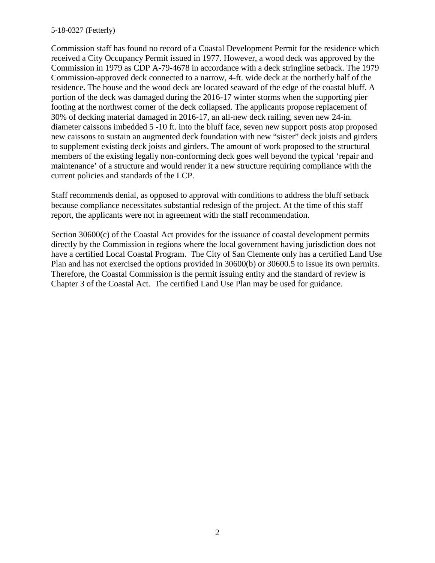#### 5-18-0327 (Fetterly)

Commission staff has found no record of a Coastal Development Permit for the residence which received a City Occupancy Permit issued in 1977. However, a wood deck was approved by the Commission in 1979 as CDP A-79-4678 in accordance with a deck stringline setback. The 1979 Commission-approved deck connected to a narrow, 4-ft. wide deck at the northerly half of the residence. The house and the wood deck are located seaward of the edge of the coastal bluff. A portion of the deck was damaged during the 2016-17 winter storms when the supporting pier footing at the northwest corner of the deck collapsed. The applicants propose replacement of 30% of decking material damaged in 2016-17, an all-new deck railing, seven new 24-in. diameter caissons imbedded 5 -10 ft. into the bluff face, seven new support posts atop proposed new caissons to sustain an augmented deck foundation with new "sister" deck joists and girders to supplement existing deck joists and girders. The amount of work proposed to the structural members of the existing legally non-conforming deck goes well beyond the typical 'repair and maintenance' of a structure and would render it a new structure requiring compliance with the current policies and standards of the LCP.

Staff recommends denial, as opposed to approval with conditions to address the bluff setback because compliance necessitates substantial redesign of the project. At the time of this staff report, the applicants were not in agreement with the staff recommendation.

Section 30600(c) of the Coastal Act provides for the issuance of coastal development permits directly by the Commission in regions where the local government having jurisdiction does not have a certified Local Coastal Program. The City of San Clemente only has a certified Land Use Plan and has not exercised the options provided in 30600(b) or 30600.5 to issue its own permits. Therefore, the Coastal Commission is the permit issuing entity and the standard of review is Chapter 3 of the Coastal Act. The certified Land Use Plan may be used for guidance.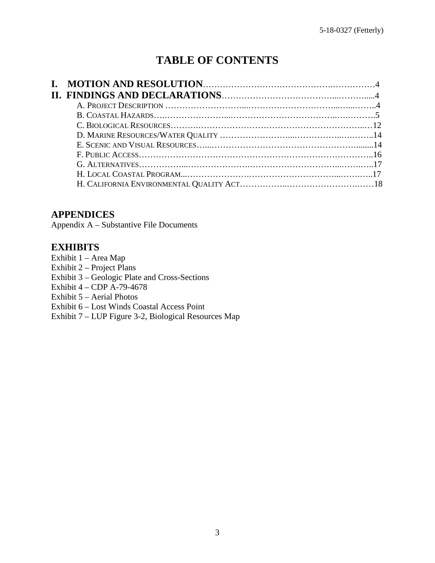# **TABLE OF CONTENTS**

### **APPENDICES**

Appendix A – Substantive File Documents

### **EXHIBITS**

- Exhibit 1 Area Map
- Exhibit 2 Project Plans
- [Exhibit 3 Geologic Plate and Cross-Sections](https://documents.coastal.ca.gov/reports/2019/9/W26c/W26c-9-2019-exhibits.pdf)
- Exhibit  $4 CDP A 79 4678$
- Exhibit 5 Aerial Photos
- Exhibit 6 Lost Winds Coastal Access Point
- Exhibit 7 LUP Figure 3-2, Biological Resources Map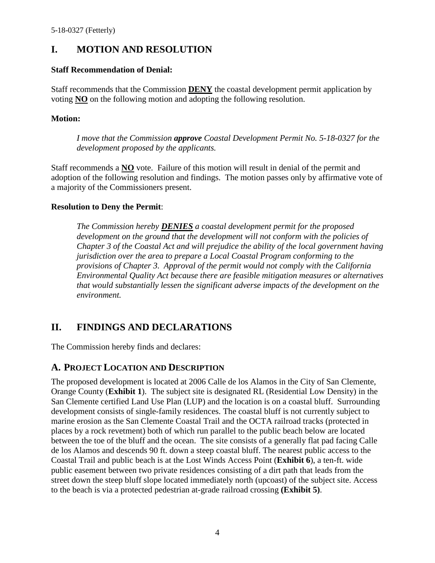# **I. MOTION AND RESOLUTION**

#### **Staff Recommendation of Denial:**

Staff recommends that the Commission **DENY** the coastal development permit application by voting **NO** on the following motion and adopting the following resolution.

### **Motion:**

*I move that the Commission approve Coastal Development Permit No. 5-18-0327 for the development proposed by the applicants.* 

Staff recommends a **NO** vote. Failure of this motion will result in denial of the permit and adoption of the following resolution and findings. The motion passes only by affirmative vote of a majority of the Commissioners present.

### **Resolution to Deny the Permit**:

*The Commission hereby DENIES a coastal development permit for the proposed development on the ground that the development will not conform with the policies of Chapter 3 of the Coastal Act and will prejudice the ability of the local government having jurisdiction over the area to prepare a Local Coastal Program conforming to the provisions of Chapter 3. Approval of the permit would not comply with the California Environmental Quality Act because there are feasible mitigation measures or alternatives that would substantially lessen the significant adverse impacts of the development on the environment.* 

# **II. FINDINGS AND DECLARATIONS**

The Commission hereby finds and declares:

### **A. PROJECT LOCATION AND DESCRIPTION**

The proposed development is located at 2006 Calle de los Alamos in the City of San Clemente, Orange County (**[Exhibit 1](https://documents.coastal.ca.gov/reports/2019/9/W26c/W26c-9-2019-exhibits.pdf)**). The subject site is designated RL (Residential Low Density) in the San Clemente certified Land Use Plan (LUP) and the location is on a coastal bluff. Surrounding development consists of single-family residences. The coastal bluff is not currently subject to marine erosion as the San Clemente Coastal Trail and the OCTA railroad tracks (protected in places by a rock revetment) both of which run parallel to the public beach below are located between the toe of the bluff and the ocean. The site consists of a generally flat pad facing Calle de los Alamos and descends 90 ft. down a steep coastal bluff. The nearest public access to the Coastal Trail and public beach is at the Lost Winds Access Point (**[Exhibit 6](https://documents.coastal.ca.gov/reports/2019/9/W26c/W26c-9-2019-exhibits.pdf)**), a ten-ft. wide public easement between two private residences consisting of a dirt path that leads from the street down the steep bluff slope located immediately north (upcoast) of the subject site. Access to the beach is via a protected pedestrian at-grade railroad crossing **[\(Exhibit 5\)](https://documents.coastal.ca.gov/reports/2019/9/W26c/W26c-9-2019-exhibits.pdf)**.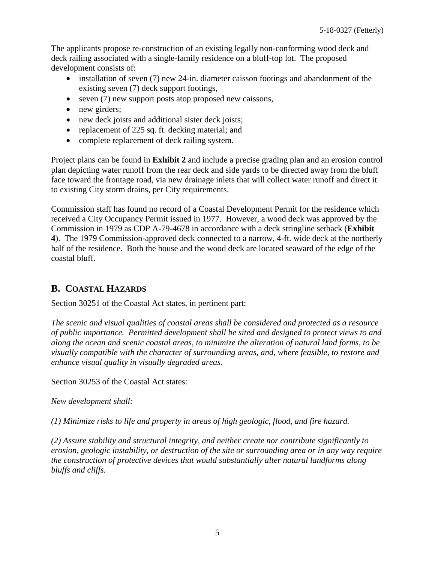The applicants propose re-construction of an existing legally non-conforming wood deck and deck railing associated with a single-family residence on a bluff-top lot. The proposed development consists of:

- installation of seven (7) new 24-in. diameter caisson footings and abandonment of the existing seven (7) deck support footings,
- seven (7) new support posts atop proposed new caissons,
- new girders;
- new deck joists and additional sister deck joists;
- replacement of 225 sq. ft. decking material; and
- complete replacement of deck railing system.

Project plans can be found in **[Exhibit 2](https://documents.coastal.ca.gov/reports/2019/9/W26c/W26c-9-2019-exhibits.pdf)** and include a precise grading plan and an erosion control plan depicting water runoff from the rear deck and side yards to be directed away from the bluff face toward the frontage road, via new drainage inlets that will collect water runoff and direct it to existing City storm drains, per City requirements.

Commission staff has found no record of a Coastal Development Permit for the residence which received a City Occupancy Permit issued in 1977. However, a wood deck was approved by the Commission in 1979 as CDP A-79-4678 in accordance with a deck stringline setback (**[Exhibit](https://documents.coastal.ca.gov/reports/2019/9/W26c/W26c-9-2019-exhibits.pdf)  4**). The 1979 Commission-approved deck connected to a narrow, 4-ft. wide deck at the northerly half of the residence. Both the house and the wood deck are located seaward of the edge of the coastal bluff.

# **B. COASTAL HAZARDS**

Section 30251 of the Coastal Act states, in pertinent part:

*The scenic and visual qualities of coastal areas shall be considered and protected as a resource of public importance. Permitted development shall be sited and designed to protect views to and along the ocean and scenic coastal areas, to minimize the alteration of natural land forms, to be visually compatible with the character of surrounding areas, and, where feasible, to restore and enhance visual quality in visually degraded areas.* 

Section 30253 of the Coastal Act states:

*New development shall:* 

*(1) Minimize risks to life and property in areas of high geologic, flood, and fire hazard.* 

*(2) Assure stability and structural integrity, and neither create nor contribute significantly to erosion, geologic instability, or destruction of the site or surrounding area or in any way require the construction of protective devices that would substantially alter natural landforms along bluffs and cliffs.*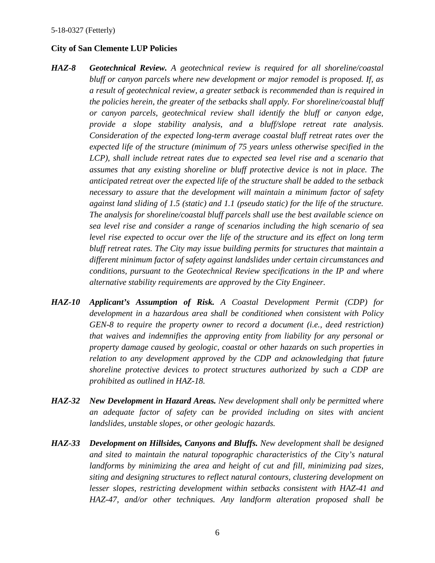#### **City of San Clemente LUP Policies**

- *HAZ-8 Geotechnical Review. A geotechnical review is required for all shoreline/coastal bluff or canyon parcels where new development or major remodel is proposed. If, as a result of geotechnical review, a greater setback is recommended than is required in the policies herein, the greater of the setbacks shall apply. For shoreline/coastal bluff or canyon parcels, geotechnical review shall identify the bluff or canyon edge, provide a slope stability analysis, and a bluff/slope retreat rate analysis. Consideration of the expected long-term average coastal bluff retreat rates over the expected life of the structure (minimum of 75 years unless otherwise specified in the LCP*), shall include retreat rates due to expected sea level rise and a scenario that *assumes that any existing shoreline or bluff protective device is not in place. The anticipated retreat over the expected life of the structure shall be added to the setback necessary to assure that the development will maintain a minimum factor of safety against land sliding of 1.5 (static) and 1.1 (pseudo static) for the life of the structure. The analysis for shoreline/coastal bluff parcels shall use the best available science on sea level rise and consider a range of scenarios including the high scenario of sea level rise expected to occur over the life of the structure and its effect on long term bluff retreat rates. The City may issue building permits for structures that maintain a different minimum factor of safety against landslides under certain circumstances and conditions, pursuant to the Geotechnical Review specifications in the IP and where alternative stability requirements are approved by the City Engineer.*
- *HAZ-10 Applicant's Assumption of Risk. A Coastal Development Permit (CDP) for development in a hazardous area shall be conditioned when consistent with Policy GEN-8 to require the property owner to record a document (i.e., deed restriction) that waives and indemnifies the approving entity from liability for any personal or property damage caused by geologic, coastal or other hazards on such properties in relation to any development approved by the CDP and acknowledging that future shoreline protective devices to protect structures authorized by such a CDP are prohibited as outlined in HAZ-18.*
- *HAZ-32 New Development in Hazard Areas. New development shall only be permitted where an adequate factor of safety can be provided including on sites with ancient landslides, unstable slopes, or other geologic hazards.*
- *HAZ-33 Development on Hillsides, Canyons and Bluffs. New development shall be designed and sited to maintain the natural topographic characteristics of the City's natural landforms by minimizing the area and height of cut and fill, minimizing pad sizes, siting and designing structures to reflect natural contours, clustering development on lesser slopes, restricting development within setbacks consistent with HAZ-41 and HAZ-47, and/or other techniques. Any landform alteration proposed shall be*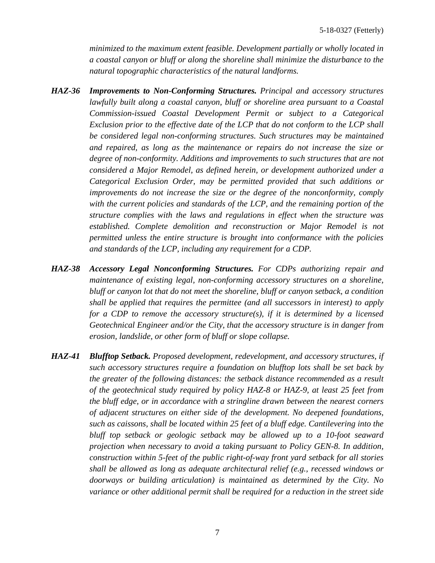*minimized to the maximum extent feasible. Development partially or wholly located in a coastal canyon or bluff or along the shoreline shall minimize the disturbance to the natural topographic characteristics of the natural landforms.* 

- *HAZ-36 Improvements to Non-Conforming Structures. Principal and accessory structures lawfully built along a coastal canyon, bluff or shoreline area pursuant to a Coastal Commission-issued Coastal Development Permit or subject to a Categorical Exclusion prior to the effective date of the LCP that do not conform to the LCP shall be considered legal non-conforming structures. Such structures may be maintained and repaired, as long as the maintenance or repairs do not increase the size or degree of non-conformity. Additions and improvements to such structures that are not considered a Major Remodel, as defined herein, or development authorized under a Categorical Exclusion Order, may be permitted provided that such additions or improvements do not increase the size or the degree of the nonconformity, comply with the current policies and standards of the LCP, and the remaining portion of the structure complies with the laws and regulations in effect when the structure was established. Complete demolition and reconstruction or Major Remodel is not permitted unless the entire structure is brought into conformance with the policies and standards of the LCP, including any requirement for a CDP.*
- *HAZ-38 Accessory Legal Nonconforming Structures. For CDPs authorizing repair and maintenance of existing legal, non-conforming accessory structures on a shoreline, bluff or canyon lot that do not meet the shoreline, bluff or canyon setback, a condition shall be applied that requires the permittee (and all successors in interest) to apply for a CDP to remove the accessory structure(s), if it is determined by a licensed Geotechnical Engineer and/or the City, that the accessory structure is in danger from erosion, landslide, or other form of bluff or slope collapse.*
- *HAZ-41 Blufftop Setback. Proposed development, redevelopment, and accessory structures, if such accessory structures require a foundation on blufftop lots shall be set back by the greater of the following distances: the setback distance recommended as a result of the geotechnical study required by policy HAZ-8 or HAZ-9, at least 25 feet from the bluff edge, or in accordance with a stringline drawn between the nearest corners of adjacent structures on either side of the development. No deepened foundations, such as caissons, shall be located within 25 feet of a bluff edge. Cantilevering into the bluff top setback or geologic setback may be allowed up to a 10-foot seaward projection when necessary to avoid a taking pursuant to Policy GEN-8. In addition, construction within 5-feet of the public right-of-way front yard setback for all stories shall be allowed as long as adequate architectural relief (e.g., recessed windows or doorways or building articulation) is maintained as determined by the City. No variance or other additional permit shall be required for a reduction in the street side*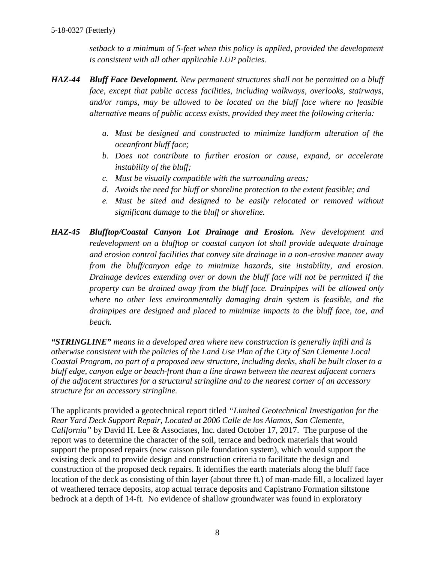*setback to a minimum of 5-feet when this policy is applied, provided the development is consistent with all other applicable LUP policies.*

- *HAZ-44 Bluff Face Development. New permanent structures shall not be permitted on a bluff face, except that public access facilities, including walkways, overlooks, stairways, and/or ramps, may be allowed to be located on the bluff face where no feasible alternative means of public access exists, provided they meet the following criteria:* 
	- *a. Must be designed and constructed to minimize landform alteration of the oceanfront bluff face;*
	- *b. Does not contribute to further erosion or cause, expand, or accelerate instability of the bluff;*
	- *c. Must be visually compatible with the surrounding areas;*
	- *d. Avoids the need for bluff or shoreline protection to the extent feasible; and*
	- *e. Must be sited and designed to be easily relocated or removed without significant damage to the bluff or shoreline.*
- *HAZ-45 Blufftop/Coastal Canyon Lot Drainage and Erosion. New development and redevelopment on a blufftop or coastal canyon lot shall provide adequate drainage and erosion control facilities that convey site drainage in a non-erosive manner away from the bluff/canyon edge to minimize hazards, site instability, and erosion. Drainage devices extending over or down the bluff face will not be permitted if the property can be drained away from the bluff face. Drainpipes will be allowed only where no other less environmentally damaging drain system is feasible, and the drainpipes are designed and placed to minimize impacts to the bluff face, toe, and beach.*

*"STRINGLINE" means in a developed area where new construction is generally infill and is otherwise consistent with the policies of the Land Use Plan of the City of San Clemente Local Coastal Program, no part of a proposed new structure, including decks, shall be built closer to a bluff edge, canyon edge or beach-front than a line drawn between the nearest adjacent corners of the adjacent structures for a structural stringline and to the nearest corner of an accessory structure for an accessory stringline.* 

The applicants provided a geotechnical report titled *"Limited Geotechnical Investigation for the Rear Yard Deck Support Repair, Located at 2006 Calle de los Alamos, San Clemente, California"* by David H. Lee & Associates, Inc. dated October 17, 2017. The purpose of the report was to determine the character of the soil, terrace and bedrock materials that would support the proposed repairs (new caisson pile foundation system), which would support the existing deck and to provide design and construction criteria to facilitate the design and construction of the proposed deck repairs. It identifies the earth materials along the bluff face location of the deck as consisting of thin layer (about three ft.) of man-made fill, a localized layer of weathered terrace deposits, atop actual terrace deposits and Capistrano Formation siltstone bedrock at a depth of 14-ft. No evidence of shallow groundwater was found in exploratory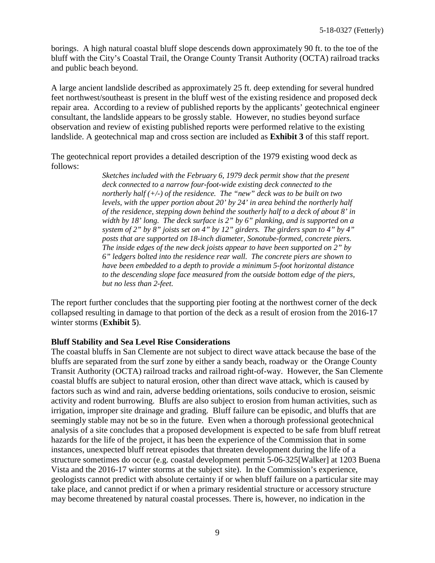borings. A high natural coastal bluff slope descends down approximately 90 ft. to the toe of the bluff with the City's Coastal Trail, the Orange County Transit Authority (OCTA) railroad tracks and public beach beyond.

A large ancient landslide described as approximately 25 ft. deep extending for several hundred feet northwest/southeast is present in the bluff west of the existing residence and proposed deck repair area. According to a review of published reports by the applicants' geotechnical engineer consultant, the landslide appears to be grossly stable. However, no studies beyond surface observation and review of existing published reports were performed relative to the existing landslide. A geotechnical map and cross section are included as **[Exhibit 3](https://documents.coastal.ca.gov/reports/2019/9/W26c/W26c-9-2019-exhibits.pdf)** of this staff report.

The geotechnical report provides a detailed description of the 1979 existing wood deck as follows:

> *Sketches included with the February 6, 1979 deck permit show that the present deck connected to a narrow four-foot-wide existing deck connected to the northerly half (+/-) of the residence. The "new" deck was to be built on two levels, with the upper portion about 20' by 24' in area behind the northerly half of the residence, stepping down behind the southerly half to a deck of about 8' in width by 18' long. The deck surface is 2" by 6" planking, and is supported on a system of 2" by 8" joists set on 4" by 12" girders. The girders span to 4" by 4" posts that are supported on 18-inch diameter, Sonotube-formed, concrete piers. The inside edges of the new deck joists appear to have been supported on 2" by 6" ledgers bolted into the residence rear wall. The concrete piers are shown to have been embedded to a depth to provide a minimum 5-foot horizontal distance to the descending slope face measured from the outside bottom edge of the piers, but no less than 2-feet.*

The report further concludes that the supporting pier footing at the northwest corner of the deck collapsed resulting in damage to that portion of the deck as a result of erosion from the 2016-17 winter storms (**[Exhibit 5](https://documents.coastal.ca.gov/reports/2019/9/W26c/W26c-9-2019-exhibits.pdf)**).

#### **Bluff Stability and Sea Level Rise Considerations**

The coastal bluffs in San Clemente are not subject to direct wave attack because the base of the bluffs are separated from the surf zone by either a sandy beach, roadway or the Orange County Transit Authority (OCTA) railroad tracks and railroad right-of-way. However, the San Clemente coastal bluffs are subject to natural erosion, other than direct wave attack, which is caused by factors such as wind and rain, adverse bedding orientations, soils conducive to erosion, seismic activity and rodent burrowing. Bluffs are also subject to erosion from human activities, such as irrigation, improper site drainage and grading. Bluff failure can be episodic, and bluffs that are seemingly stable may not be so in the future. Even when a thorough professional geotechnical analysis of a site concludes that a proposed development is expected to be safe from bluff retreat hazards for the life of the project, it has been the experience of the Commission that in some instances, unexpected bluff retreat episodes that threaten development during the life of a structure sometimes do occur (e.g. coastal development permit 5-06-325[Walker] at 1203 Buena Vista and the 2016-17 winter storms at the subject site). In the Commission's experience, geologists cannot predict with absolute certainty if or when bluff failure on a particular site may take place, and cannot predict if or when a primary residential structure or accessory structure may become threatened by natural coastal processes. There is, however, no indication in the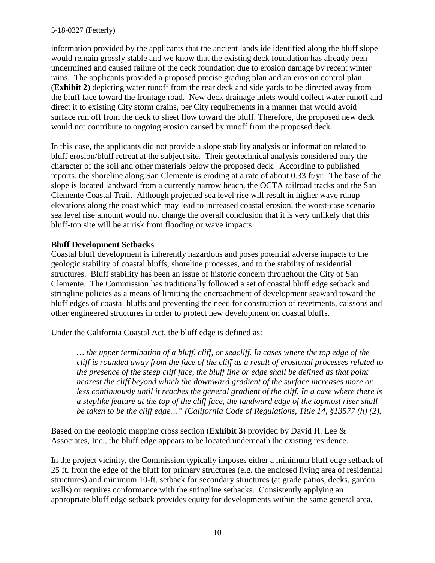information provided by the applicants that the ancient landslide identified along the bluff slope would remain grossly stable and we know that the existing deck foundation has already been undermined and caused failure of the deck foundation due to erosion damage by recent winter rains. The applicants provided a proposed precise grading plan and an erosion control plan (**[Exhibit 2](https://documents.coastal.ca.gov/reports/2019/9/W26c/W26c-9-2019-exhibits.pdf)**) depicting water runoff from the rear deck and side yards to be directed away from the bluff face toward the frontage road. New deck drainage inlets would collect water runoff and direct it to existing City storm drains, per City requirements in a manner that would avoid surface run off from the deck to sheet flow toward the bluff. Therefore, the proposed new deck would not contribute to ongoing erosion caused by runoff from the proposed deck.

In this case, the applicants did not provide a slope stability analysis or information related to bluff erosion/bluff retreat at the subject site. Their geotechnical analysis considered only the character of the soil and other materials below the proposed deck. According to published reports, the shoreline along San Clemente is eroding at a rate of about 0.33 ft/yr. The base of the slope is located landward from a currently narrow beach, the OCTA railroad tracks and the San Clemente Coastal Trail. Although projected sea level rise will result in higher wave runup elevations along the coast which may lead to increased coastal erosion, the worst-case scenario sea level rise amount would not change the overall conclusion that it is very unlikely that this bluff-top site will be at risk from flooding or wave impacts.

#### **Bluff Development Setbacks**

Coastal bluff development is inherently hazardous and poses potential adverse impacts to the geologic stability of coastal bluffs, shoreline processes, and to the stability of residential structures. Bluff stability has been an issue of historic concern throughout the City of San Clemente. The Commission has traditionally followed a set of coastal bluff edge setback and stringline policies as a means of limiting the encroachment of development seaward toward the bluff edges of coastal bluffs and preventing the need for construction of revetments, caissons and other engineered structures in order to protect new development on coastal bluffs.

Under the California Coastal Act, the bluff edge is defined as:

*… the upper termination of a bluff, cliff, or seacliff. In cases where the top edge of the cliff is rounded away from the face of the cliff as a result of erosional processes related to the presence of the steep cliff face, the bluff line or edge shall be defined as that point nearest the cliff beyond which the downward gradient of the surface increases more or less continuously until it reaches the general gradient of the cliff. In a case where there is a steplike feature at the top of the cliff face, the landward edge of the topmost riser shall be taken to be the cliff edge…" (California Code of Regulations, Title 14, §13577 (h) (2).* 

Based on the geologic mapping cross section (**[Exhibit 3](https://documents.coastal.ca.gov/reports/2019/9/W26c/W26c-9-2019-exhibits.pdf)**) provided by David H. Lee & Associates, Inc., the bluff edge appears to be located underneath the existing residence.

In the project vicinity, the Commission typically imposes either a minimum bluff edge setback of 25 ft. from the edge of the bluff for primary structures (e.g. the enclosed living area of residential structures) and minimum 10-ft. setback for secondary structures (at grade patios, decks, garden walls) or requires conformance with the stringline setbacks. Consistently applying an appropriate bluff edge setback provides equity for developments within the same general area.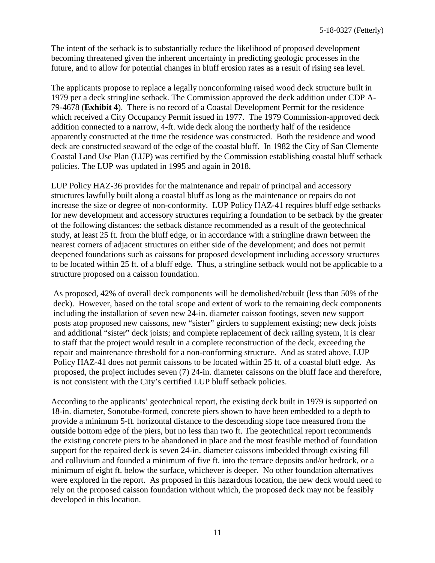The intent of the setback is to substantially reduce the likelihood of proposed development becoming threatened given the inherent uncertainty in predicting geologic processes in the future, and to allow for potential changes in bluff erosion rates as a result of rising sea level.

The applicants propose to replace a legally nonconforming raised wood deck structure built in 1979 per a deck stringline setback. The Commission approved the deck addition under CDP A-79-4678 (**[Exhibit 4](https://documents.coastal.ca.gov/reports/2019/9/W26c/W26c-9-2019-exhibits.pdf)**). There is no record of a Coastal Development Permit for the residence which received a City Occupancy Permit issued in 1977. The 1979 Commission-approved deck addition connected to a narrow, 4-ft. wide deck along the northerly half of the residence apparently constructed at the time the residence was constructed. Both the residence and wood deck are constructed seaward of the edge of the coastal bluff. In 1982 the City of San Clemente Coastal Land Use Plan (LUP) was certified by the Commission establishing coastal bluff setback policies. The LUP was updated in 1995 and again in 2018.

LUP Policy HAZ-36 provides for the maintenance and repair of principal and accessory structures lawfully built along a coastal bluff as long as the maintenance or repairs do not increase the size or degree of non-conformity. LUP Policy HAZ-41 requires bluff edge setbacks for new development and accessory structures requiring a foundation to be setback by the greater of the following distances: the setback distance recommended as a result of the geotechnical study, at least 25 ft. from the bluff edge, or in accordance with a stringline drawn between the nearest corners of adjacent structures on either side of the development; and does not permit deepened foundations such as caissons for proposed development including accessory structures to be located within 25 ft. of a bluff edge. Thus, a stringline setback would not be applicable to a structure proposed on a caisson foundation.

As proposed, 42% of overall deck components will be demolished/rebuilt (less than 50% of the deck). However, based on the total scope and extent of work to the remaining deck components including the installation of seven new 24-in. diameter caisson footings, seven new support posts atop proposed new caissons, new "sister" girders to supplement existing; new deck joists and additional "sister" deck joists; and complete replacement of deck railing system, it is clear to staff that the project would result in a complete reconstruction of the deck, exceeding the repair and maintenance threshold for a non-conforming structure. And as stated above, LUP Policy HAZ-41 does not permit caissons to be located within 25 ft. of a coastal bluff edge. As proposed, the project includes seven (7) 24-in. diameter caissons on the bluff face and therefore, is not consistent with the City's certified LUP bluff setback policies.

According to the applicants' geotechnical report, the existing deck built in 1979 is supported on 18-in. diameter, Sonotube-formed, concrete piers shown to have been embedded to a depth to provide a minimum 5-ft. horizontal distance to the descending slope face measured from the outside bottom edge of the piers, but no less than two ft. The geotechnical report recommends the existing concrete piers to be abandoned in place and the most feasible method of foundation support for the repaired deck is seven 24-in. diameter caissons imbedded through existing fill and colluvium and founded a minimum of five ft. into the terrace deposits and/or bedrock, or a minimum of eight ft. below the surface, whichever is deeper. No other foundation alternatives were explored in the report. As proposed in this hazardous location, the new deck would need to rely on the proposed caisson foundation without which, the proposed deck may not be feasibly developed in this location.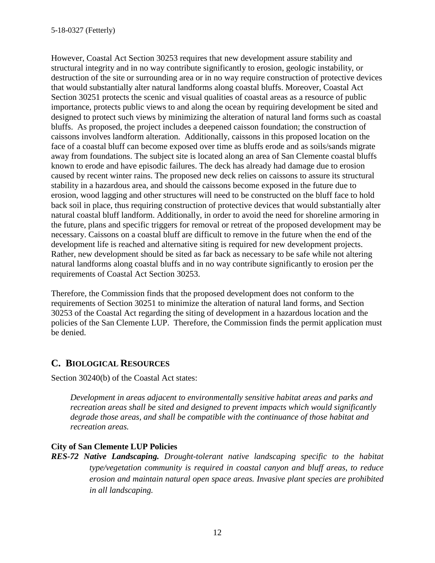However, Coastal Act Section 30253 requires that new development assure stability and structural integrity and in no way contribute significantly to erosion, geologic instability, or destruction of the site or surrounding area or in no way require construction of protective devices that would substantially alter natural landforms along coastal bluffs. Moreover, Coastal Act Section 30251 protects the scenic and visual qualities of coastal areas as a resource of public importance, protects public views to and along the ocean by requiring development be sited and designed to protect such views by minimizing the alteration of natural land forms such as coastal bluffs. As proposed, the project includes a deepened caisson foundation; the construction of caissons involves landform alteration. Additionally, caissons in this proposed location on the face of a coastal bluff can become exposed over time as bluffs erode and as soils/sands migrate away from foundations. The subject site is located along an area of San Clemente coastal bluffs known to erode and have episodic failures. The deck has already had damage due to erosion caused by recent winter rains. The proposed new deck relies on caissons to assure its structural stability in a hazardous area, and should the caissons become exposed in the future due to erosion, wood lagging and other structures will need to be constructed on the bluff face to hold back soil in place, thus requiring construction of protective devices that would substantially alter natural coastal bluff landform. Additionally, in order to avoid the need for shoreline armoring in the future, plans and specific triggers for removal or retreat of the proposed development may be necessary. Caissons on a coastal bluff are difficult to remove in the future when the end of the development life is reached and alternative siting is required for new development projects. Rather, new development should be sited as far back as necessary to be safe while not altering natural landforms along coastal bluffs and in no way contribute significantly to erosion per the requirements of Coastal Act Section 30253.

Therefore, the Commission finds that the proposed development does not conform to the requirements of Section 30251 to minimize the alteration of natural land forms, and Section 30253 of the Coastal Act regarding the siting of development in a hazardous location and the policies of the San Clemente LUP. Therefore, the Commission finds the permit application must be denied.

# **C. BIOLOGICAL RESOURCES**

Section 30240(b) of the Coastal Act states:

*Development in areas adjacent to environmentally sensitive habitat areas and parks and recreation areas shall be sited and designed to prevent impacts which would significantly degrade those areas, and shall be compatible with the continuance of those habitat and recreation areas.* 

#### **City of San Clemente LUP Policies**

*RES-72 Native Landscaping. Drought-tolerant native landscaping specific to the habitat type/vegetation community is required in coastal canyon and bluff areas, to reduce erosion and maintain natural open space areas. Invasive plant species are prohibited in all landscaping.*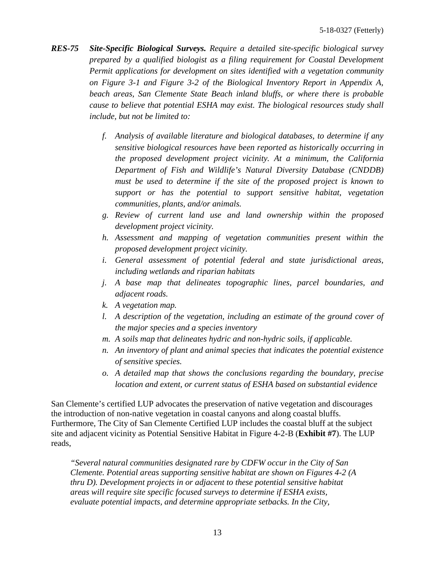- *RES-75 Site-Specific Biological Surveys. Require a detailed site-specific biological survey prepared by a qualified biologist as a filing requirement for Coastal Development Permit applications for development on sites identified with a vegetation community on Figure 3-1 and Figure 3-2 of the Biological Inventory Report in Appendix A, beach areas, San Clemente State Beach inland bluffs, or where there is probable cause to believe that potential ESHA may exist. The biological resources study shall include, but not be limited to:* 
	- *f. Analysis of available literature and biological databases, to determine if any sensitive biological resources have been reported as historically occurring in the proposed development project vicinity. At a minimum, the California Department of Fish and Wildlife's Natural Diversity Database (CNDDB) must be used to determine if the site of the proposed project is known to support or has the potential to support sensitive habitat, vegetation communities, plants, and/or animals.*
	- *g. Review of current land use and land ownership within the proposed development project vicinity.*
	- *h. Assessment and mapping of vegetation communities present within the proposed development project vicinity.*
	- *i. General assessment of potential federal and state jurisdictional areas, including wetlands and riparian habitats*
	- *j. A base map that delineates topographic lines, parcel boundaries, and adjacent roads.*
	- *k. A vegetation map.*
	- *l. A description of the vegetation, including an estimate of the ground cover of the major species and a species inventory*
	- *m. A soils map that delineates hydric and non-hydric soils, if applicable.*
	- *n. An inventory of plant and animal species that indicates the potential existence of sensitive species.*
	- *o. A detailed map that shows the conclusions regarding the boundary, precise location and extent, or current status of ESHA based on substantial evidence*

San Clemente's certified LUP advocates the preservation of native vegetation and discourages the introduction of non-native vegetation in coastal canyons and along coastal bluffs. Furthermore, The City of San Clemente Certified LUP includes the coastal bluff at the subject site and adjacent vicinity as Potential Sensitive Habitat in Figure 4-2-B (**[Exhibit #7](https://documents.coastal.ca.gov/reports/2019/9/W26c/W26c-9-2019-exhibits.pdf)**). The LUP reads,

*"Several natural communities designated rare by CDFW occur in the City of San Clemente. Potential areas supporting sensitive habitat are shown on Figures 4-2 (A thru D). Development projects in or adjacent to these potential sensitive habitat areas will require site specific focused surveys to determine if ESHA exists, evaluate potential impacts, and determine appropriate setbacks. In the City,*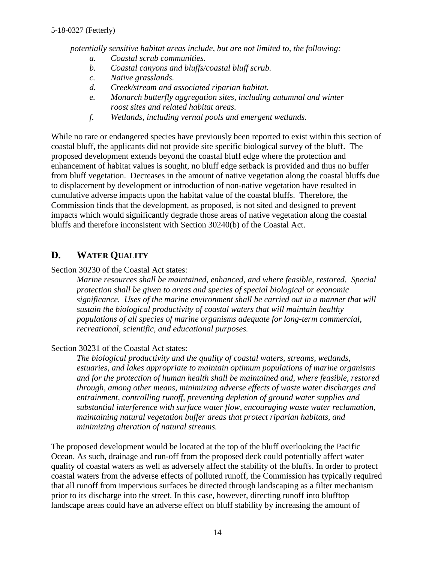*potentially sensitive habitat areas include, but are not limited to, the following:* 

- *a. Coastal scrub communities.*
- *b. Coastal canyons and bluffs/coastal bluff scrub.*
- *c. Native grasslands.*
- *d. Creek/stream and associated riparian habitat.*
- *e. Monarch butterfly aggregation sites, including autumnal and winter roost sites and related habitat areas.*
- *f. Wetlands, including vernal pools and emergent wetlands.*

While no rare or endangered species have previously been reported to exist within this section of coastal bluff, the applicants did not provide site specific biological survey of the bluff. The proposed development extends beyond the coastal bluff edge where the protection and enhancement of habitat values is sought, no bluff edge setback is provided and thus no buffer from bluff vegetation. Decreases in the amount of native vegetation along the coastal bluffs due to displacement by development or introduction of non-native vegetation have resulted in cumulative adverse impacts upon the habitat value of the coastal bluffs. Therefore, the Commission finds that the development, as proposed, is not sited and designed to prevent impacts which would significantly degrade those areas of native vegetation along the coastal bluffs and therefore inconsistent with Section 30240(b) of the Coastal Act.

# **D. WATER QUALITY**

Section 30230 of the Coastal Act states:

*Marine resources shall be maintained, enhanced, and where feasible, restored. Special protection shall be given to areas and species of special biological or economic significance. Uses of the marine environment shall be carried out in a manner that will sustain the biological productivity of coastal waters that will maintain healthy populations of all species of marine organisms adequate for long-term commercial, recreational, scientific, and educational purposes.* 

### Section 30231 of the Coastal Act states:

*The biological productivity and the quality of coastal waters, streams, wetlands, estuaries, and lakes appropriate to maintain optimum populations of marine organisms and for the protection of human health shall be maintained and, where feasible, restored through, among other means, minimizing adverse effects of waste water discharges and entrainment, controlling runoff, preventing depletion of ground water supplies and substantial interference with surface water flow, encouraging waste water reclamation, maintaining natural vegetation buffer areas that protect riparian habitats, and minimizing alteration of natural streams.* 

The proposed development would be located at the top of the bluff overlooking the Pacific Ocean. As such, drainage and run-off from the proposed deck could potentially affect water quality of coastal waters as well as adversely affect the stability of the bluffs. In order to protect coastal waters from the adverse effects of polluted runoff, the Commission has typically required that all runoff from impervious surfaces be directed through landscaping as a filter mechanism prior to its discharge into the street. In this case, however, directing runoff into blufftop landscape areas could have an adverse effect on bluff stability by increasing the amount of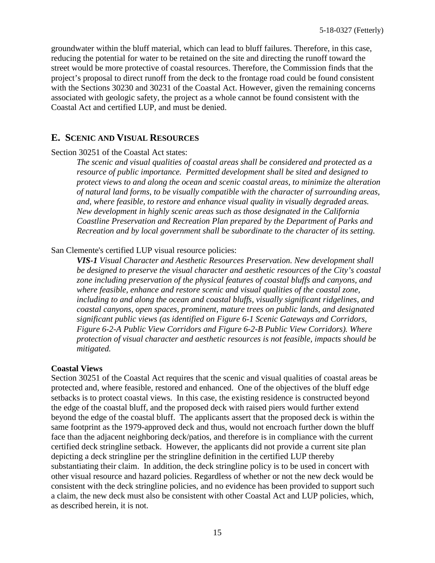groundwater within the bluff material, which can lead to bluff failures. Therefore, in this case, reducing the potential for water to be retained on the site and directing the runoff toward the street would be more protective of coastal resources. Therefore, the Commission finds that the project's proposal to direct runoff from the deck to the frontage road could be found consistent with the Sections 30230 and 30231 of the Coastal Act. However, given the remaining concerns associated with geologic safety, the project as a whole cannot be found consistent with the Coastal Act and certified LUP, and must be denied.

### **E. SCENIC AND VISUAL RESOURCES**

#### Section 30251 of the Coastal Act states:

*The scenic and visual qualities of coastal areas shall be considered and protected as a resource of public importance. Permitted development shall be sited and designed to protect views to and along the ocean and scenic coastal areas, to minimize the alteration of natural land forms, to be visually compatible with the character of surrounding areas, and, where feasible, to restore and enhance visual quality in visually degraded areas. New development in highly scenic areas such as those designated in the California Coastline Preservation and Recreation Plan prepared by the Department of Parks and Recreation and by local government shall be subordinate to the character of its setting.* 

#### San Clemente's certified LUP visual resource policies:

*VIS-1 Visual Character and Aesthetic Resources Preservation. New development shall be designed to preserve the visual character and aesthetic resources of the City's coastal zone including preservation of the physical features of coastal bluffs and canyons, and where feasible, enhance and restore scenic and visual qualities of the coastal zone, including to and along the ocean and coastal bluffs, visually significant ridgelines, and coastal canyons, open spaces, prominent, mature trees on public lands, and designated significant public views (as identified on Figure 6-1 Scenic Gateways and Corridors, Figure 6-2-A Public View Corridors and Figure 6-2-B Public View Corridors). Where protection of visual character and aesthetic resources is not feasible, impacts should be mitigated.*

#### **Coastal Views**

Section 30251 of the Coastal Act requires that the scenic and visual qualities of coastal areas be protected and, where feasible, restored and enhanced. One of the objectives of the bluff edge setbacks is to protect coastal views. In this case, the existing residence is constructed beyond the edge of the coastal bluff, and the proposed deck with raised piers would further extend beyond the edge of the coastal bluff. The applicants assert that the proposed deck is within the same footprint as the 1979-approved deck and thus, would not encroach further down the bluff face than the adjacent neighboring deck/patios, and therefore is in compliance with the current certified deck stringline setback. However, the applicants did not provide a current site plan depicting a deck stringline per the stringline definition in the certified LUP thereby substantiating their claim. In addition, the deck stringline policy is to be used in concert with other visual resource and hazard policies. Regardless of whether or not the new deck would be consistent with the deck stringline policies, and no evidence has been provided to support such a claim, the new deck must also be consistent with other Coastal Act and LUP policies, which, as described herein, it is not.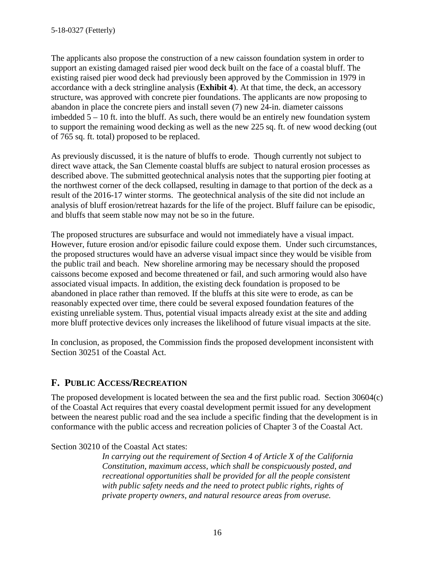The applicants also propose the construction of a new caisson foundation system in order to support an existing damaged raised pier wood deck built on the face of a coastal bluff. The existing raised pier wood deck had previously been approved by the Commission in 1979 in accordance with a deck stringline analysis (**[Exhibit 4](https://documents.coastal.ca.gov/reports/2019/9/W26c/W26c-9-2019-exhibits.pdf)**). At that time, the deck, an accessory structure, was approved with concrete pier foundations. The applicants are now proposing to abandon in place the concrete piers and install seven (7) new 24-in. diameter caissons imbedded  $5 - 10$  ft. into the bluff. As such, there would be an entirely new foundation system to support the remaining wood decking as well as the new 225 sq. ft. of new wood decking (out of 765 sq. ft. total) proposed to be replaced.

As previously discussed, it is the nature of bluffs to erode. Though currently not subject to direct wave attack, the San Clemente coastal bluffs are subject to natural erosion processes as described above. The submitted geotechnical analysis notes that the supporting pier footing at the northwest corner of the deck collapsed, resulting in damage to that portion of the deck as a result of the 2016-17 winter storms. The geotechnical analysis of the site did not include an analysis of bluff erosion/retreat hazards for the life of the project. Bluff failure can be episodic, and bluffs that seem stable now may not be so in the future.

The proposed structures are subsurface and would not immediately have a visual impact. However, future erosion and/or episodic failure could expose them. Under such circumstances, the proposed structures would have an adverse visual impact since they would be visible from the public trail and beach. New shoreline armoring may be necessary should the proposed caissons become exposed and become threatened or fail, and such armoring would also have associated visual impacts. In addition, the existing deck foundation is proposed to be abandoned in place rather than removed. If the bluffs at this site were to erode, as can be reasonably expected over time, there could be several exposed foundation features of the existing unreliable system. Thus, potential visual impacts already exist at the site and adding more bluff protective devices only increases the likelihood of future visual impacts at the site.

In conclusion, as proposed, the Commission finds the proposed development inconsistent with Section 30251 of the Coastal Act.

### **F. PUBLIC ACCESS/RECREATION**

The proposed development is located between the sea and the first public road. Section 30604(c) of the Coastal Act requires that every coastal development permit issued for any development between the nearest public road and the sea include a specific finding that the development is in conformance with the public access and recreation policies of Chapter 3 of the Coastal Act.

Section 30210 of the Coastal Act states:

*In carrying out the requirement of Section 4 of Article X of the California Constitution, maximum access, which shall be conspicuously posted, and recreational opportunities shall be provided for all the people consistent with public safety needs and the need to protect public rights, rights of private property owners, and natural resource areas from overuse.*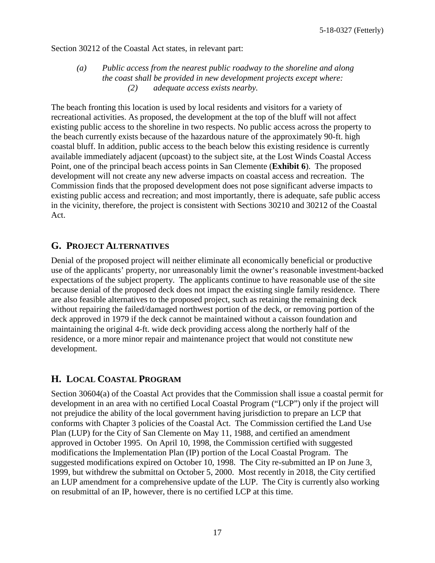Section 30212 of the Coastal Act states, in relevant part:

#### *(a) Public access from the nearest public roadway to the shoreline and along the coast shall be provided in new development projects except where: (2) adequate access exists nearby.*

The beach fronting this location is used by local residents and visitors for a variety of recreational activities. As proposed, the development at the top of the bluff will not affect existing public access to the shoreline in two respects. No public access across the property to the beach currently exists because of the hazardous nature of the approximately 90-ft. high coastal bluff. In addition, public access to the beach below this existing residence is currently available immediately adjacent (upcoast) to the subject site, at the Lost Winds Coastal Access Point, one of the principal beach access points in San Clemente (**[Exhibit 6](https://documents.coastal.ca.gov/reports/2019/9/W26c/W26c-9-2019-exhibits.pdf)**). The proposed development will not create any new adverse impacts on coastal access and recreation. The Commission finds that the proposed development does not pose significant adverse impacts to existing public access and recreation; and most importantly, there is adequate, safe public access in the vicinity, therefore, the project is consistent with Sections 30210 and 30212 of the Coastal Act.

### **G. PROJECT ALTERNATIVES**

Denial of the proposed project will neither eliminate all economically beneficial or productive use of the applicants' property, nor unreasonably limit the owner's reasonable investment-backed expectations of the subject property. The applicants continue to have reasonable use of the site because denial of the proposed deck does not impact the existing single family residence. There are also feasible alternatives to the proposed project, such as retaining the remaining deck without repairing the failed/damaged northwest portion of the deck, or removing portion of the deck approved in 1979 if the deck cannot be maintained without a caisson foundation and maintaining the original 4-ft. wide deck providing access along the northerly half of the residence, or a more minor repair and maintenance project that would not constitute new development.

### **H. LOCAL COASTAL PROGRAM**

Section 30604(a) of the Coastal Act provides that the Commission shall issue a coastal permit for development in an area with no certified Local Coastal Program ("LCP") only if the project will not prejudice the ability of the local government having jurisdiction to prepare an LCP that conforms with Chapter 3 policies of the Coastal Act. The Commission certified the Land Use Plan (LUP) for the City of San Clemente on May 11, 1988, and certified an amendment approved in October 1995. On April 10, 1998, the Commission certified with suggested modifications the Implementation Plan (IP) portion of the Local Coastal Program. The suggested modifications expired on October 10, 1998. The City re-submitted an IP on June 3, 1999, but withdrew the submittal on October 5, 2000. Most recently in 2018, the City certified an LUP amendment for a comprehensive update of the LUP. The City is currently also working on resubmittal of an IP, however, there is no certified LCP at this time.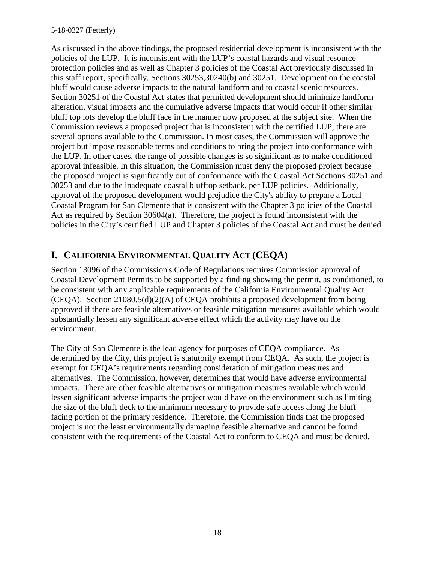As discussed in the above findings, the proposed residential development is inconsistent with the policies of the LUP. It is inconsistent with the LUP's coastal hazards and visual resource protection policies and as well as Chapter 3 policies of the Coastal Act previously discussed in this staff report, specifically, Sections 30253,30240(b) and 30251. Development on the coastal bluff would cause adverse impacts to the natural landform and to coastal scenic resources. Section 30251 of the Coastal Act states that permitted development should minimize landform alteration, visual impacts and the cumulative adverse impacts that would occur if other similar bluff top lots develop the bluff face in the manner now proposed at the subject site. When the Commission reviews a proposed project that is inconsistent with the certified LUP, there are several options available to the Commission. In most cases, the Commission will approve the project but impose reasonable terms and conditions to bring the project into conformance with the LUP. In other cases, the range of possible changes is so significant as to make conditioned approval infeasible. In this situation, the Commission must deny the proposed project because the proposed project is significantly out of conformance with the Coastal Act Sections 30251 and 30253 and due to the inadequate coastal blufftop setback, per LUP policies. Additionally, approval of the proposed development would prejudice the City's ability to prepare a Local Coastal Program for San Clemente that is consistent with the Chapter 3 policies of the Coastal Act as required by Section 30604(a). Therefore, the project is found inconsistent with the policies in the City's certified LUP and Chapter 3 policies of the Coastal Act and must be denied.

# **I. CALIFORNIA ENVIRONMENTAL QUALITY ACT (CEQA)**

Section 13096 of the Commission's Code of Regulations requires Commission approval of Coastal Development Permits to be supported by a finding showing the permit, as conditioned, to be consistent with any applicable requirements of the California Environmental Quality Act (CEQA). Section 21080.5(d)(2)(A) of CEQA prohibits a proposed development from being approved if there are feasible alternatives or feasible mitigation measures available which would substantially lessen any significant adverse effect which the activity may have on the environment.

The City of San Clemente is the lead agency for purposes of CEQA compliance. As determined by the City, this project is statutorily exempt from CEQA. As such, the project is exempt for CEQA's requirements regarding consideration of mitigation measures and alternatives. The Commission, however, determines that would have adverse environmental impacts. There are other feasible alternatives or mitigation measures available which would lessen significant adverse impacts the project would have on the environment such as limiting the size of the bluff deck to the minimum necessary to provide safe access along the bluff facing portion of the primary residence. Therefore, the Commission finds that the proposed project is not the least environmentally damaging feasible alternative and cannot be found consistent with the requirements of the Coastal Act to conform to CEQA and must be denied.